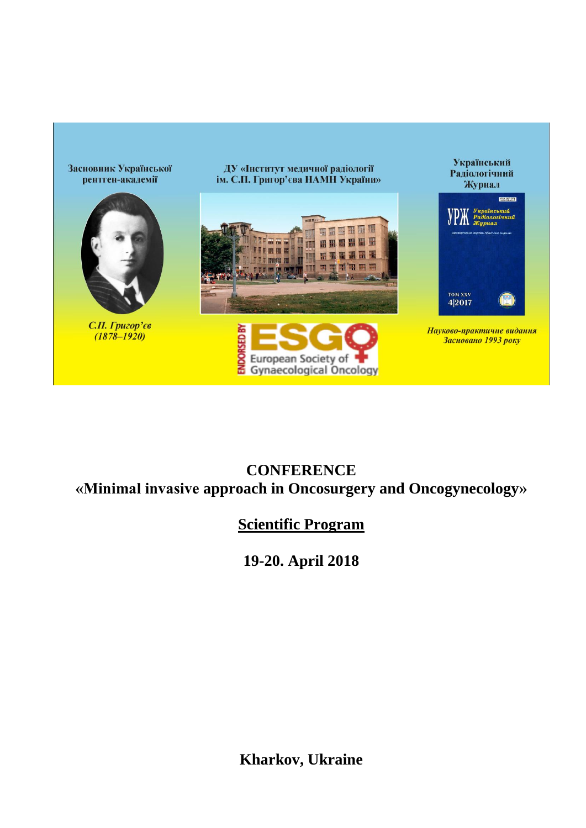

#### **CONFERENCE «Minimal invasive approach in Oncosurgery and Oncogynecology»**

## **Scientific Program**

# **19-20. April 2018**

### **Kharkov, Ukraine**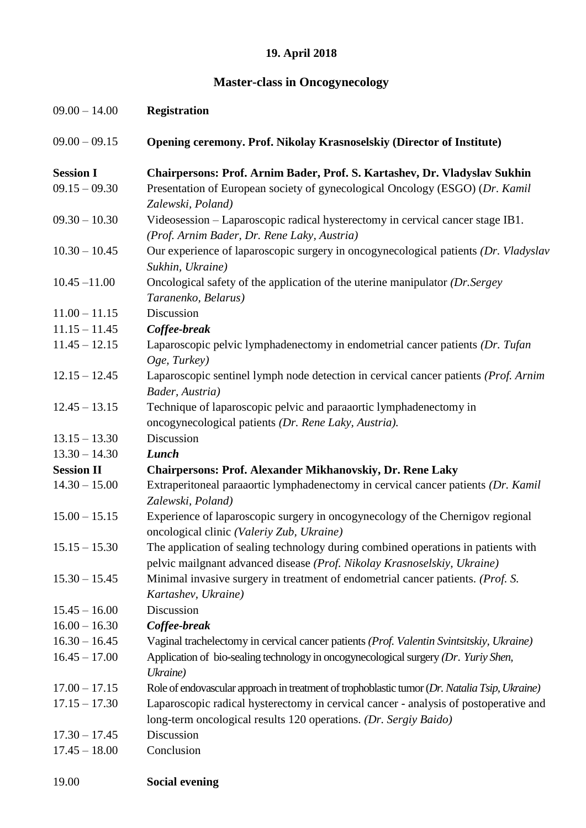### **19. April 2018**

#### **Master-class in Oncogynecology**

| $09.00 - 14.00$   | <b>Registration</b>                                                                                                                                           |
|-------------------|---------------------------------------------------------------------------------------------------------------------------------------------------------------|
| $09.00 - 09.15$   | Opening ceremony. Prof. Nikolay Krasnoselskiy (Director of Institute)                                                                                         |
| <b>Session I</b>  | Chairpersons: Prof. Arnim Bader, Prof. S. Kartashev, Dr. Vladyslav Sukhin                                                                                     |
| $09.15 - 09.30$   | Presentation of European society of gynecological Oncology (ESGO) (Dr. Kamil<br>Zalewski, Poland)                                                             |
| $09.30 - 10.30$   | Videosession – Laparoscopic radical hysterectomy in cervical cancer stage IB1.<br>(Prof. Arnim Bader, Dr. Rene Laky, Austria)                                 |
| $10.30 - 10.45$   | Our experience of laparoscopic surgery in oncogynecological patients (Dr. Vladyslav<br>Sukhin, Ukraine)                                                       |
| $10.45 - 11.00$   | Oncological safety of the application of the uterine manipulator (Dr. Sergey<br>Taranenko, Belarus)                                                           |
| $11.00 - 11.15$   | Discussion                                                                                                                                                    |
| $11.15 - 11.45$   | Coffee-break                                                                                                                                                  |
| $11.45 - 12.15$   | Laparoscopic pelvic lymphadenectomy in endometrial cancer patients (Dr. Tufan<br>Oge, Turkey)                                                                 |
| $12.15 - 12.45$   | Laparoscopic sentinel lymph node detection in cervical cancer patients (Prof. Arnim<br>Bader, Austria)                                                        |
| $12.45 - 13.15$   | Technique of laparoscopic pelvic and paraaortic lymphadenectomy in<br>oncogynecological patients (Dr. Rene Laky, Austria).                                    |
| $13.15 - 13.30$   | Discussion                                                                                                                                                    |
| $13.30 - 14.30$   | Lunch                                                                                                                                                         |
| <b>Session II</b> | <b>Chairpersons: Prof. Alexander Mikhanovskiy, Dr. Rene Laky</b>                                                                                              |
| $14.30 - 15.00$   | Extraperitoneal paraaortic lymphadenectomy in cervical cancer patients (Dr. Kamil<br>Zalewski, Poland)                                                        |
| $15.00 - 15.15$   | Experience of laparoscopic surgery in oncogynecology of the Chernigov regional<br>oncological clinic (Valeriy Zub, Ukraine)                                   |
| $15.15 - 15.30$   | The application of sealing technology during combined operations in patients with<br>pelvic mailgnant advanced disease (Prof. Nikolay Krasnoselskiy, Ukraine) |
| $15.30 - 15.45$   | Minimal invasive surgery in treatment of endometrial cancer patients. (Prof. S.<br>Kartashev, Ukraine)                                                        |
| $15.45 - 16.00$   | Discussion                                                                                                                                                    |
| $16.00 - 16.30$   | Coffee-break                                                                                                                                                  |
| $16.30 - 16.45$   | Vaginal trachelectomy in cervical cancer patients (Prof. Valentin Svintsitskiy, Ukraine)                                                                      |
| $16.45 - 17.00$   | Application of bio-sealing technology in oncogynecological surgery (Dr. Yuriy Shen,<br>Ukraine)                                                               |
| $17.00 - 17.15$   | Role of endovascular approach in treatment of trophoblastic tumor (Dr. Natalia Tsip, Ukraine)                                                                 |
| $17.15 - 17.30$   | Laparoscopic radical hysterectomy in cervical cancer - analysis of postoperative and<br>long-term oncological results 120 operations. (Dr. Sergiy Baido)      |
| $17.30 - 17.45$   | Discussion                                                                                                                                                    |
| $17.45 - 18.00$   | Conclusion                                                                                                                                                    |